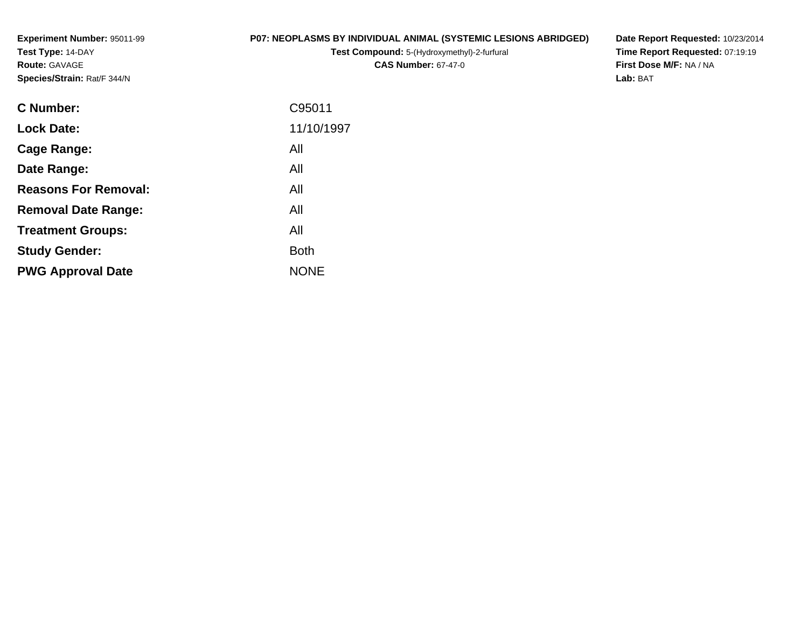**Experiment Number:** 95011-99**Test Type:** 14-DAY**Route:** GAVAGE**Species/Strain:** Rat/F 344/N

### **P07: NEOPLASMS BY INDIVIDUAL ANIMAL (SYSTEMIC LESIONS ABRIDGED)**

**Test Compound:** 5-(Hydroxymethyl)-2-furfural **CAS Number:** 67-47-0

**Date Report Requested:** 10/23/2014 **Time Report Requested:** 07:19:19**First Dose M/F:** NA / NA**Lab:** BAT

| <b>C</b> Number:            | C95011      |
|-----------------------------|-------------|
| <b>Lock Date:</b>           | 11/10/1997  |
| Cage Range:                 | All         |
| Date Range:                 | All         |
| <b>Reasons For Removal:</b> | All         |
| <b>Removal Date Range:</b>  | All         |
| <b>Treatment Groups:</b>    | All         |
| <b>Study Gender:</b>        | <b>Both</b> |
| <b>PWG Approval Date</b>    | <b>NONE</b> |
|                             |             |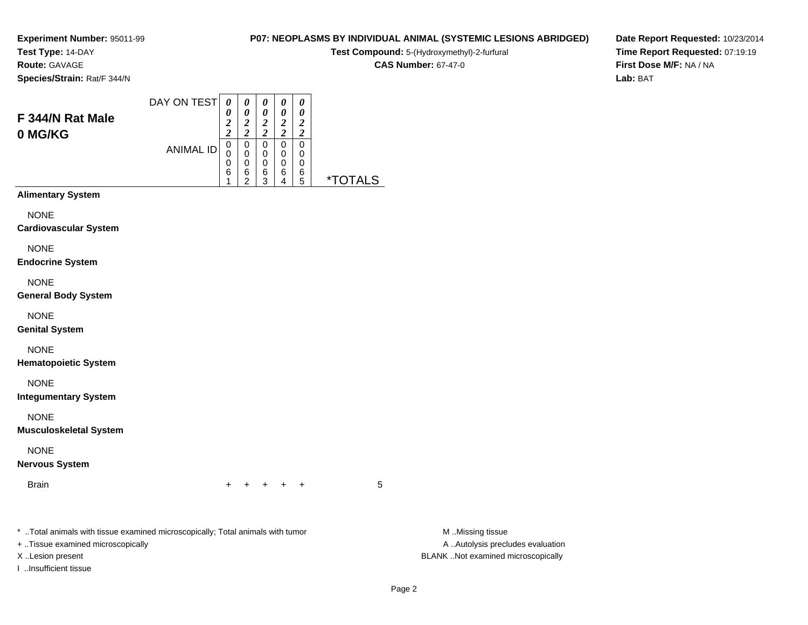**Test Type:** 14-DAY

**Route:** GAVAGE

**Species/Strain:** Rat/F 344/N

#### DAY ON TEST**F 344/N Rat Male0 MG/KG**ANIMAL ID*0 0 2 2* 0 0 0 6 1*0 0 2 2*0<br>0<br>0<br>0<br>0<br>2 *0 0 2 2* 0 0 0 6 3*0 0 2 2* 0 0 0 6 4*0 0 2 2* 0 0 06<br>ء

**Alimentary System**

**NONE** 

**Cardiovascular System**

NONE

**Endocrine System**

NONE

**General Body System**

NONE

**Genital System**

NONE

**Hematopoietic System**

NONE

**Integumentary System**

NONE

**Musculoskeletal System**

NONE

**Nervous System**

**Brain** n  $+$ 

<sup>+</sup> <sup>+</sup> <sup>+</sup> <sup>+</sup> <sup>5</sup>

5 \*TOTALS

\* ..Total animals with tissue examined microscopically; Total animals with tumor **M** ..Missing tissue M ..Missing tissue

+ ..Tissue examined microscopically

I ..Insufficient tissue

A ..Autolysis precludes evaluation X ..Lesion present BLANK ..Not examined microscopically

**Date Report Requested:** 10/23/2014**Time Report Requested:** 07:19:19**First Dose M/F:** NA / NA**Lab:** BAT

### **P07: NEOPLASMS BY INDIVIDUAL ANIMAL (SYSTEMIC LESIONS ABRIDGED)**

**Test Compound:** 5-(Hydroxymethyl)-2-furfural

**CAS Number:** 67-47-0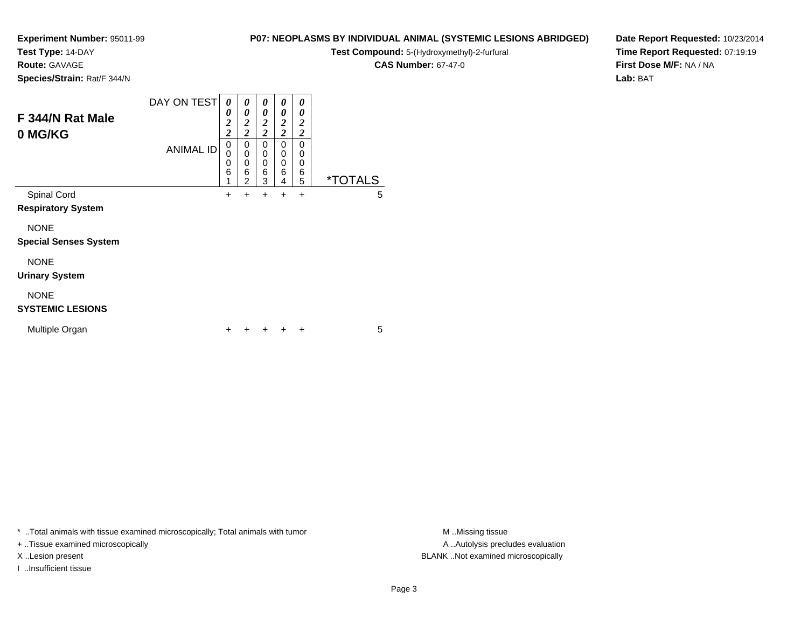**Test Type:** 14-DAY

**Route:** GAVAGE

**0 MG/KG**

**Species/Strain:** Rat/F 344/N

#### DAY ON TEST**F 344/N Rat Male**ANIMAL ID*0 0 2 2* 0 0 0 6 1 $+$ *0 0 2 2*0<br>0<br>0<br>0<br>0<br>2  $+$ *0 0 2 2* 0 0 0 6 3 $\ddot{}$ *0 0 2 2* 0 0 0 6 4 $+$ *0 0 2 2* 0 00<br>6<br>5 5 \*TOTALSSpinal Cord $\alpha$  + <sup>+</sup> <sup>+</sup> <sup>+</sup> <sup>+</sup> <sup>5</sup> **Respiratory System**

NONE

**Special Senses System**

## NONE

**Urinary System**

### NONE

### **SYSTEMIC LESIONS**

| Multiple Organ |  |  |  | + + + + + |  |  |  |
|----------------|--|--|--|-----------|--|--|--|
|----------------|--|--|--|-----------|--|--|--|

\* ..Total animals with tissue examined microscopically; Total animals with tumor **M** ..Missing tissue M ..Missing tissue

+ ..Tissue examined microscopically

I ..Insufficient tissue

**Test Compound:** 5-(Hydroxymethyl)-2-furfural

**CAS Number:** 67-47-0

**P07: NEOPLASMS BY INDIVIDUAL ANIMAL (SYSTEMIC LESIONS ABRIDGED)**

**Date Report Requested:** 10/23/2014**Time Report Requested:** 07:19:19**First Dose M/F:** NA / NA**Lab:** BAT

A .. Autolysis precludes evaluation X ..Lesion present BLANK ..Not examined microscopically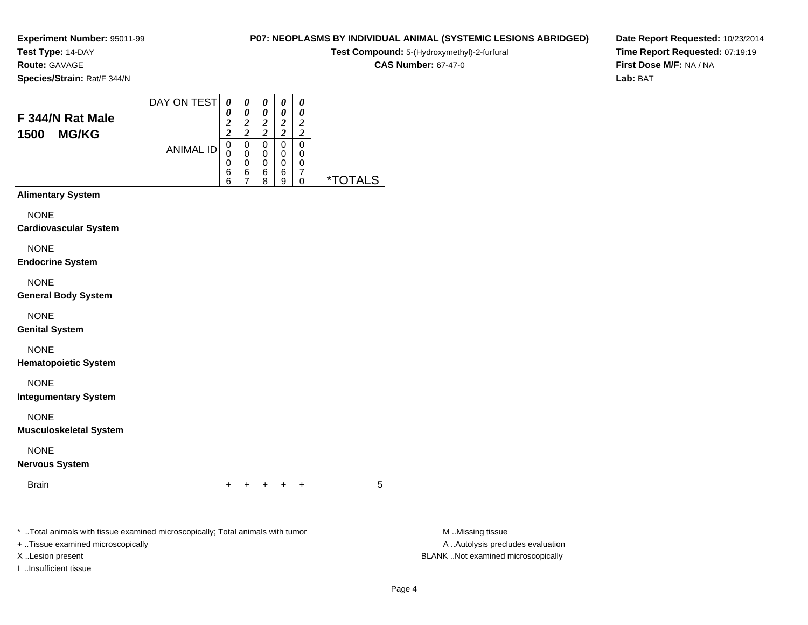**Test Type:** 14-DAY

**Route:** GAVAGE

**Species/Strain:** Rat/F 344/N

#### DAY ON TEST**F 344/N Rat Male1500 MG/KG**ANIMAL ID*0 0 2 2* 0 0 0 6 6*0 0 2 2* 0 0 0 6 7*0 0 2 2* 0 0 0 6 8*0 0 2 2* 0 0 0 6 9*0 0 2 2* 0 00<br>7<br>^ 0 \*TOTALS

**Alimentary System**

**NONE** 

**Cardiovascular System**

NONE

**Endocrine System**

NONE

**General Body System**

NONE

**Genital System**

NONE

**Hematopoietic System**

NONE

**Integumentary System**

NONE

**Musculoskeletal System**

NONE

**Nervous System**

**Brain** n  $+$ 

<sup>+</sup> <sup>+</sup> <sup>+</sup> <sup>+</sup> <sup>5</sup>

\* ..Total animals with tissue examined microscopically; Total animals with tumor **M** ..Missing tissue M ..Missing tissue

+ ..Tissue examined microscopically

I ..Insufficient tissue

A ..Autolysis precludes evaluation X ..Lesion present BLANK ..Not examined microscopically

**P07: NEOPLASMS BY INDIVIDUAL ANIMAL (SYSTEMIC LESIONS ABRIDGED)Test Compound:** 5-(Hydroxymethyl)-2-furfural **CAS Number:** 67-47-0

**Date Report Requested:** 10/23/2014**Time Report Requested:** 07:19:19**First Dose M/F:** NA / NA**Lab:** BAT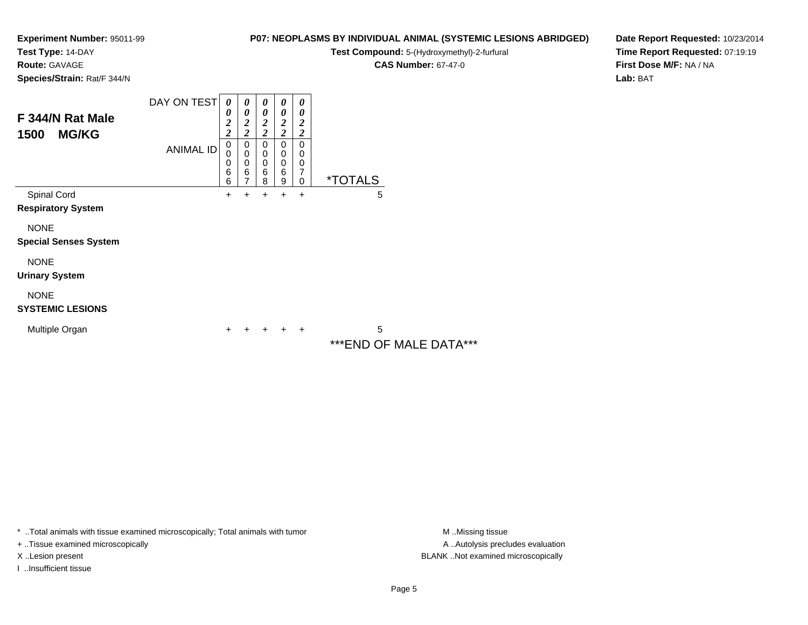**Test Type:** 14-DAY

**Route:** GAVAGE

**Species/Strain:** Rat/F 344/N

### **P07: NEOPLASMS BY INDIVIDUAL ANIMAL (SYSTEMIC LESIONS ABRIDGED)**

**Test Compound:** 5-(Hydroxymethyl)-2-furfural

**CAS Number:** 67-47-0

**Date Report Requested:** 10/23/2014**Time Report Requested:** 07:19:19**First Dose M/F:** NA / NA**Lab:** BAT

| F 344/N Rat Male<br><b>MG/KG</b><br>1500    | DAY ON TEST      | $\boldsymbol{\theta}$<br>0<br>$\overline{\mathbf{c}}$<br>$\overline{c}$ | 0<br>0<br>$\boldsymbol{2}$<br>$\overline{c}$ | 0<br>$\theta$<br>$\boldsymbol{2}$<br>$\overline{\mathbf{c}}$ | $\boldsymbol{\theta}$<br>0<br>$\boldsymbol{2}$<br>$\overline{c}$ | 0<br>0<br>$\overline{\mathbf{c}}$<br>$\overline{\mathbf{c}}$ |                              |
|---------------------------------------------|------------------|-------------------------------------------------------------------------|----------------------------------------------|--------------------------------------------------------------|------------------------------------------------------------------|--------------------------------------------------------------|------------------------------|
|                                             | <b>ANIMAL ID</b> | 0<br>0<br>0<br>6<br>6                                                   | 0<br>$\mathbf 0$<br>0<br>6<br>7              | 0<br>$\mathbf 0$<br>$\mathbf 0$<br>6<br>8                    | 0<br>$\mathbf 0$<br>$\mathbf 0$<br>6<br>9                        | 0<br>0<br>$\mathbf 0$<br>7<br>$\mathbf 0$                    | <i><b>*TOTALS</b></i>        |
| Spinal Cord<br><b>Respiratory System</b>    |                  | +                                                                       | +                                            | +                                                            | +                                                                | $\ddot{}$                                                    | 5                            |
| <b>NONE</b><br><b>Special Senses System</b> |                  |                                                                         |                                              |                                                              |                                                                  |                                                              |                              |
| <b>NONE</b><br><b>Urinary System</b>        |                  |                                                                         |                                              |                                                              |                                                                  |                                                              |                              |
| <b>NONE</b><br><b>SYSTEMIC LESIONS</b>      |                  |                                                                         |                                              |                                                              |                                                                  |                                                              |                              |
| Multiple Organ                              |                  | +                                                                       |                                              |                                                              |                                                                  | $\ddot{}$                                                    | 5<br>*** END OF MALE DATA*** |

\* ..Total animals with tissue examined microscopically; Total animals with tumor **M** . Missing tissue M ..Missing tissue

+ ..Tissue examined microscopically

I ..Insufficient tissue

A ..Autolysis precludes evaluation X ..Lesion present BLANK ..Not examined microscopically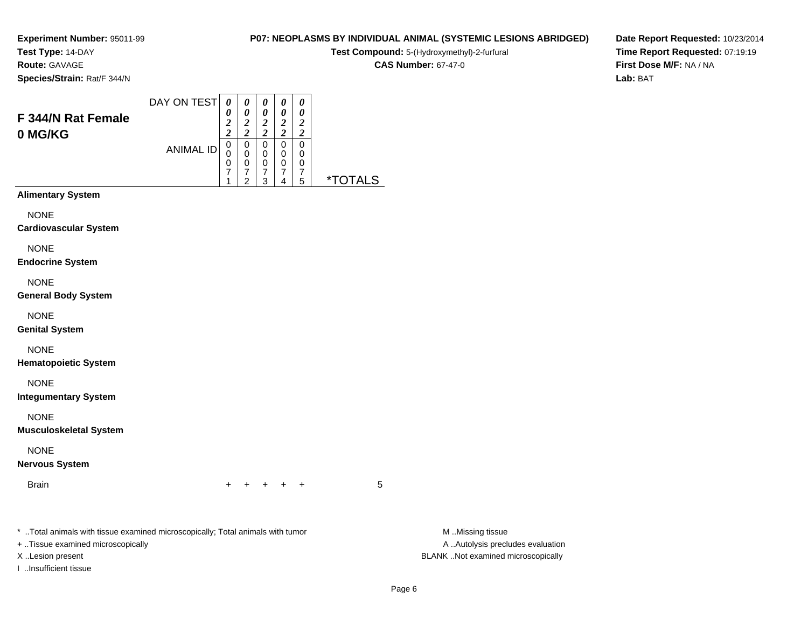**Test Type:** 14-DAY

**Route:** GAVAGE

**Species/Strain:** Rat/F 344/N

### **P07: NEOPLASMS BY INDIVIDUAL ANIMAL (SYSTEMIC LESIONS ABRIDGED)**

**Test Compound:** 5-(Hydroxymethyl)-2-furfural

**CAS Number:** 67-47-0

**Date Report Requested:** 10/23/2014**Time Report Requested:** 07:19:19**First Dose M/F:** NA / NA**Lab:** BAT

| F 344/N Rat Female<br>0 MG/KG                                                                                     | DAY ON TEST<br><b>ANIMAL ID</b> | 0<br>0<br>$\overline{c}$<br>$\overline{2}$<br>0<br>0<br>0<br>7<br>1 | 0<br>0<br>$\overline{\mathbf{c}}$<br>$\overline{c}$<br>0<br>0<br>0<br>7<br>2 | 0<br>0<br>$\overline{2}$<br>$\overline{c}$<br>0<br>0<br>0<br>7<br>3 | 0<br>0<br>$\overline{2}$<br>$\overline{2}$<br>0<br>0<br>0<br>7<br>4 | 0<br>0<br>2<br>$\overline{\mathbf{c}}$<br>0<br>0<br>0<br>7<br>5 | $*$ TOT $*$<br>I S |
|-------------------------------------------------------------------------------------------------------------------|---------------------------------|---------------------------------------------------------------------|------------------------------------------------------------------------------|---------------------------------------------------------------------|---------------------------------------------------------------------|-----------------------------------------------------------------|--------------------|
| <b>Alimentary System</b><br><b>NONE</b><br><b>Cardiovascular System</b><br><b>NONE</b><br><b>Endocrine System</b> |                                 |                                                                     |                                                                              |                                                                     |                                                                     |                                                                 |                    |

NONE

**General Body System**

NONE

**Genital System**

NONE

**Hematopoietic System**

NONE

**Integumentary System**

NONE

**Musculoskeletal System**

NONE

**Nervous System**

Brainn  $+$ 

<sup>+</sup> <sup>+</sup> <sup>+</sup> <sup>+</sup> <sup>5</sup>

\* ..Total animals with tissue examined microscopically; Total animals with tumor **M** ...Missing tissue M ...Missing tissue

+ ..Tissue examined microscopically

I ..Insufficient tissue

A .. Autolysis precludes evaluation X ..Lesion present BLANK ..Not examined microscopically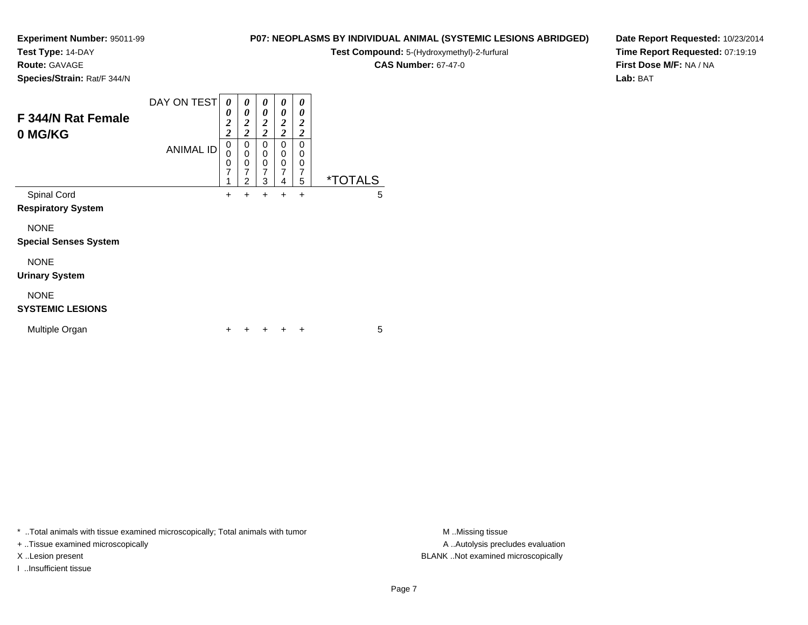**Test Type:** 14-DAY

**Route:** GAVAGE

**Species/Strain:** Rat/F 344/N

### **P07: NEOPLASMS BY INDIVIDUAL ANIMAL (SYSTEMIC LESIONS ABRIDGED)**

**Test Compound:** 5-(Hydroxymethyl)-2-furfural

**CAS Number:** 67-47-0

**Date Report Requested:** 10/23/2014**Time Report Requested:** 07:19:19**First Dose M/F:** NA / NA**Lab:** BAT

| F 344/N Rat Female<br>0 MG/KG               | DAY ON TEST      | 0<br>0<br>$\overline{\mathbf{c}}$<br>$\overline{\mathbf{c}}$ | 0<br>0<br>$\boldsymbol{2}$<br>$\overline{2}$              | 0<br>0<br>2<br>$\overline{2}$      | 0<br>0<br>2<br>$\overline{c}$      | 0<br>0<br>$\boldsymbol{2}$<br>$\boldsymbol{2}$ |                       |
|---------------------------------------------|------------------|--------------------------------------------------------------|-----------------------------------------------------------|------------------------------------|------------------------------------|------------------------------------------------|-----------------------|
|                                             | <b>ANIMAL ID</b> | 0<br>0<br>$\mathbf 0$<br>7<br>1                              | 0<br>0<br>$\mathbf 0$<br>$\overline{7}$<br>$\overline{2}$ | 0<br>0<br>0<br>$\overline{7}$<br>3 | 0<br>0<br>0<br>$\overline{7}$<br>4 | 0<br>0<br>0<br>$\overline{7}$<br>5             | <i><b>*TOTALS</b></i> |
| Spinal Cord<br><b>Respiratory System</b>    |                  | +                                                            | $\ddot{}$                                                 | +                                  | $\ddot{}$                          | $\ddot{}$                                      | 5                     |
| <b>NONE</b><br><b>Special Senses System</b> |                  |                                                              |                                                           |                                    |                                    |                                                |                       |
| <b>NONE</b><br><b>Urinary System</b>        |                  |                                                              |                                                           |                                    |                                    |                                                |                       |
| <b>NONE</b><br><b>SYSTEMIC LESIONS</b>      |                  |                                                              |                                                           |                                    |                                    |                                                |                       |
| Multiple Organ                              |                  |                                                              |                                                           |                                    |                                    | +                                              | 5                     |

\* ..Total animals with tissue examined microscopically; Total animals with tumor **M** . Missing tissue M ..Missing tissue

+ ..Tissue examined microscopically

I ..Insufficient tissue

A ..Autolysis precludes evaluation X ..Lesion present BLANK ..Not examined microscopically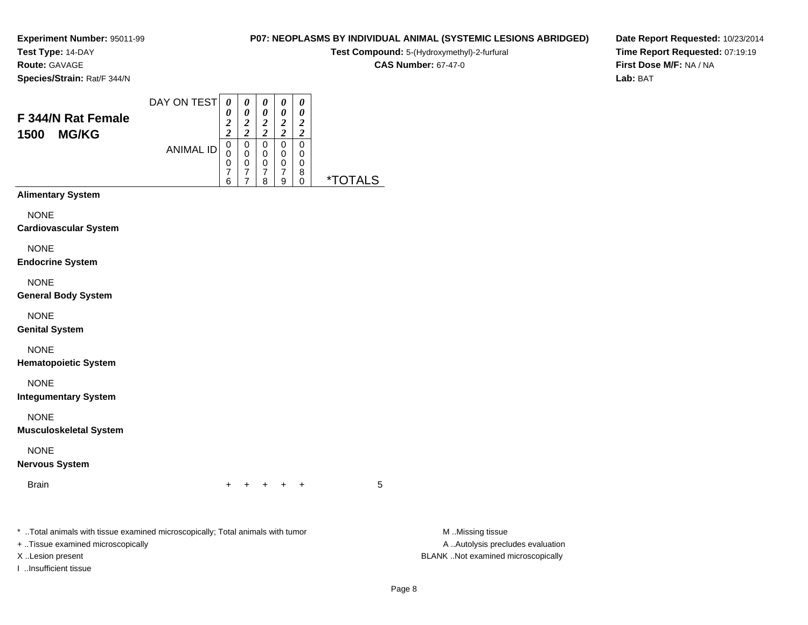**Test Type:** 14-DAY

**Route:** GAVAGE

**Species/Strain:** Rat/F 344/N

# **Test Compound:** 5-(Hydroxymethyl)-2-furfural **CAS Number:** 67-47-0

**P07: NEOPLASMS BY INDIVIDUAL ANIMAL (SYSTEMIC LESIONS ABRIDGED)**

**Date Report Requested:** 10/23/2014**Time Report Requested:** 07:19:19**First Dose M/F:** NA / NA**Lab:** BAT

| F 344/N Rat Female<br><b>MG/KG</b><br>1500 | DAY ON TEST      | 0<br>0<br>$\overline{2}$<br>$\overline{c}$ | 0<br>0<br>2<br>$\overline{\mathbf{c}}$ | 0<br>0<br>2<br>$\overline{2}$ | 0<br>0<br>$\overline{2}$<br>$\overline{2}$   | 0<br>0<br>$\overline{2}$<br>$\overline{\mathbf{c}}$ |                       |
|--------------------------------------------|------------------|--------------------------------------------|----------------------------------------|-------------------------------|----------------------------------------------|-----------------------------------------------------|-----------------------|
|                                            | <b>ANIMAL ID</b> | 0<br>0<br>0<br>$\overline{7}$<br>6         | 0<br>0<br>0<br>$\overline{7}$<br>7     | 0<br>0<br>0<br>7<br>8         | 0<br>$\mathbf 0$<br>0<br>$\overline{7}$<br>9 | 0<br>0<br>0<br>8<br>0                               | <i><b>*TOTALS</b></i> |
| <b>Alimentary System</b>                   |                  |                                            |                                        |                               |                                              |                                                     |                       |
| <b>NONE</b>                                |                  |                                            |                                        |                               |                                              |                                                     |                       |
| <b>Cardiovascular System</b>               |                  |                                            |                                        |                               |                                              |                                                     |                       |
| <b>NONE</b><br><b>Endocrine System</b>     |                  |                                            |                                        |                               |                                              |                                                     |                       |
| <b>NONE</b>                                |                  |                                            |                                        |                               |                                              |                                                     |                       |

NONE

**General Body System**

NONE

**Genital System**

NONE

**Hematopoietic System**

NONE

**Integumentary System**

NONE

**Musculoskeletal System**

NONE

**Nervous System**

Brainn  $+$ 

<sup>+</sup> <sup>+</sup> <sup>+</sup> <sup>+</sup> <sup>5</sup>

\* ..Total animals with tissue examined microscopically; Total animals with tumor **M** ...Missing tissue M ...Missing tissue

+ ..Tissue examined microscopically

I ..Insufficient tissue

A .. Autolysis precludes evaluation X ..Lesion present BLANK ..Not examined microscopically